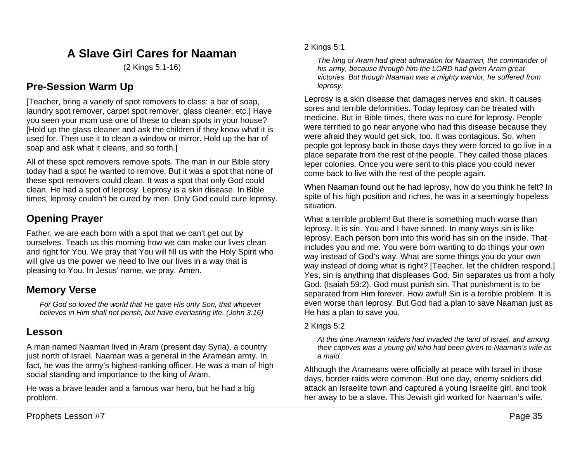# **A Slave Girl Cares for Naaman**

(2 Kings 5:1-16)

## **Pre-Session Warm Up**

[Teacher, bring a variety of spot removers to class: a bar of soap, laundry spot remover, carpet spot remover, glass cleaner, etc.] Have you seen your mom use one of these to clean spots in your house? [Hold up the glass cleaner and ask the children if they know what it is used for. Then use it to clean a window or mirror. Hold up the bar of soap and ask what it cleans, and so forth.]

All of these spot removers remove spots. The man in our Bible story today had a spot he wanted to remove. But it was a spot that none of these spot removers could clean. It was a spot that only God could clean. He had a spot of leprosy. Leprosy is a skin disease. In Bible times, leprosy couldn't be cured by men. Only God could cure leprosy.

# **Opening Prayer**

Father, we are each born with a spot that we can't get out by ourselves. Teach us this morning how we can make our lives clean and right for You. We pray that You will fill us with the Holy Spirit who will give us the power we need to live our lives in a way that is pleasing to You. In Jesus' name, we pray. Amen.

## **Memory Verse**

*For God so loved the world that He gave His only Son, that whoever believes in Him shall not perish, but have everlasting life. (John 3:16)*

## **Lesson**

A man named Naaman lived in Aram (present day Syria), a country just north of Israel. Naaman was a general in the Aramean army. In fact, he was the army's highest-ranking officer. He was a man of high social standing and importance to the king of Aram.

He was a brave leader and a famous war hero, but he had a big problem.

## 2 Kings 5:1

*The king of Aram had great admiration for Naaman, the commander of his army, because through him the LORD had given Aram great victories. But though Naaman was a mighty warrior, he suffered from leprosy.*

Leprosy is a skin disease that damages nerves and skin. It causes sores and terrible deformities. Today leprosy can be treated with medicine. But in Bible times, there was no cure for leprosy. People were terrified to go near anyone who had this disease because they were afraid they would get sick, too. It was contagious. So, when people got leprosy back in those days they were forced to go live in a place separate from the rest of the people. They called those places leper colonies. Once you were sent to this place you could never come back to live with the rest of the people again.

When Naaman found out he had leprosy, how do you think he felt? In spite of his high position and riches, he was in a seemingly hopeless situation.

What a terrible problem! But there is something much worse than leprosy. It is sin. You and I have sinned. In many ways sin is like leprosy. Each person born into this world has sin on the inside. That includes you and me. You were born wanting to do things your own way instead of God's way. What are some things you do your own way instead of doing what is right? [Teacher, let the children respond.] Yes, sin is anything that displeases God. Sin separates us from a holy God. (Isaiah 59:2). God must punish sin. That punishment is to be separated from Him forever. How awful! Sin is a terrible problem. It is even worse than leprosy. But God had a plan to save Naaman just as He has a plan to save you.

### 2 Kings 5:2

*At this time Aramean raiders had invaded the land of Israel, and among their captives was a young girl who had been given to Naaman's wife as a maid.*

Although the Arameans were officially at peace with Israel in those days, border raids were common. But one day, enemy soldiers did attack an Israelite town and captured a young Israelite girl, and took her away to be a slave. This Jewish girl worked for Naaman's wife.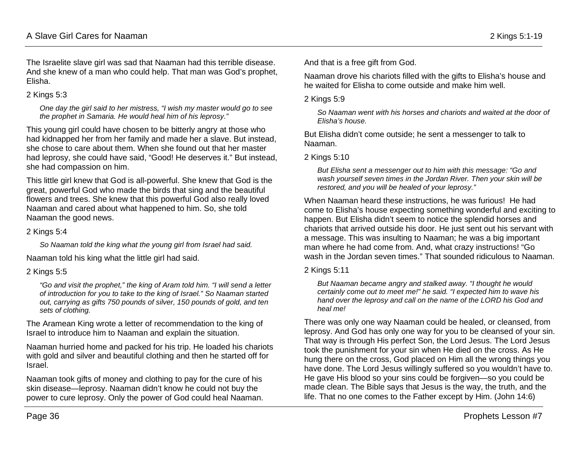The Israelite slave girl was sad that Naaman had this terrible disease. And she knew of a man who could help. That man was God's prophet, Elisha.

### 2 Kings 5:3

*One day the girl said to her mistress, "I wish my master would go to see the prophet in Samaria. He would heal him of his leprosy."*

This young girl could have chosen to be bitterly angry at those who had kidnapped her from her family and made her a slave. But instead, she chose to care about them. When she found out that her master had leprosy, she could have said, "Good! He deserves it." But instead, she had compassion on him.

This little girl knew that God is all-powerful. She knew that God is the great, powerful God who made the birds that sing and the beautiful flowers and trees. She knew that this powerful God also really loved Naaman and cared about what happened to him. So, she told Naaman the good news.

### 2 Kings 5:4

*So Naaman told the king what the young girl from Israel had said.*

Naaman told his king what the little girl had said.

### 2 Kings 5:5

*"Go and visit the prophet," the king of Aram told him. "I will send a letter of introduction for you to take to the king of Israel." So Naaman started out, carrying as gifts 750 pounds of silver, 150 pounds of gold, and ten sets of clothing.* 

The Aramean King wrote a letter of recommendation to the king of Israel to introduce him to Naaman and explain the situation.

Naaman hurried home and packed for his trip. He loaded his chariots with gold and silver and beautiful clothing and then he started off for Israel.

Naaman took gifts of money and clothing to pay for the cure of his skin disease—leprosy. Naaman didn't know he could not buy the power to cure leprosy. Only the power of God could heal Naaman. And that is a free gift from God.

Naaman drove his chariots filled with the gifts to Elisha's house and he waited for Elisha to come outside and make him well.

2 Kings 5:9

*So Naaman went with his horses and chariots and waited at the door of Elisha's house.*

But Elisha didn't come outside; he sent a messenger to talk to Naaman.

2 Kings 5:10

*But Elisha sent a messenger out to him with this message: "Go and wash yourself seven times in the Jordan River. Then your skin will be restored, and you will be healed of your leprosy."*

When Naaman heard these instructions, he was furious! He had come to Elisha's house expecting something wonderful and exciting to happen. But Elisha didn't seem to notice the splendid horses and chariots that arrived outside his door. He just sent out his servant with a message. This was insulting to Naaman; he was a big important man where he had come from. And, what crazy instructions! "Go wash in the Jordan seven times." That sounded ridiculous to Naaman.

### 2 Kings 5:11

*But Naaman became angry and stalked away. "I thought he would certainly come out to meet me!" he said. "I expected him to wave his hand over the leprosy and call on the name of the LORD his God and heal me!*

There was only one way Naaman could be healed, or cleansed, from leprosy. And God has only one way for you to be cleansed of your sin. That way is through His perfect Son, the Lord Jesus. The Lord Jesus took the punishment for your sin when He died on the cross. As He hung there on the cross, God placed on Him all the wrong things you have done. The Lord Jesus willingly suffered so you wouldn't have to. He gave His blood so your sins could be forgiven—so you could be made clean. The Bible says that Jesus is the way, the truth, and the life. That no one comes to the Father except by Him. (John 14:6)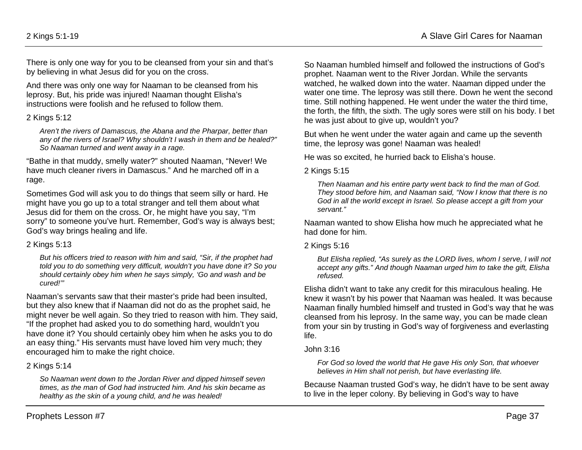There is only one way for you to be cleansed from your sin and that's by believing in what Jesus did for you on the cross.

And there was only one way for Naaman to be cleansed from his leprosy. But, his pride was injured! Naaman thought Elisha's instructions were foolish and he refused to follow them.

#### 2 Kings 5:12

*Aren't the rivers of Damascus, the Abana and the Pharpar, better than any of the rivers of Israel? Why shouldn't I wash in them and be healed?" So Naaman turned and went away in a rage.*

"Bathe in that muddy, smelly water?" shouted Naaman, "Never! We have much cleaner rivers in Damascus." And he marched off in a rage.

Sometimes God will ask you to do things that seem silly or hard. He might have you go up to a total stranger and tell them about what Jesus did for them on the cross. Or, he might have you say, "I'm sorry" to someone you've hurt. Remember, God's way is always best; God's way brings healing and life.

#### 2 Kings 5:13

*But his officers tried to reason with him and said, "Sir, if the prophet had told you to do something very difficult, wouldn't you have done it? So you should certainly obey him when he says simply, 'Go and wash and be cured!'"*

Naaman's servants saw that their master's pride had been insulted, but they also knew that if Naaman did not do as the prophet said, he might never be well again. So they tried to reason with him. They said, "If the prophet had asked you to do something hard, wouldn't you have done it? You should certainly obey him when he asks you to do an easy thing." His servants must have loved him very much; they encouraged him to make the right choice.

### 2 Kings 5:14

*So Naaman went down to the Jordan River and dipped himself seven times, as the man of God had instructed him. And his skin became as healthy as the skin of a young child, and he was healed!*

So Naaman humbled himself and followed the instructions of God's prophet. Naaman went to the River Jordan. While the servants watched, he walked down into the water. Naaman dipped under the water one time. The leprosy was still there. Down he went the second time. Still nothing happened. He went under the water the third time, the forth, the fifth, the sixth. The ugly sores were still on his body. I bet he was just about to give up, wouldn't you?

But when he went under the water again and came up the seventh time, the leprosy was gone! Naaman was healed!

He was so excited, he hurried back to Elisha's house.

2 Kings 5:15

*Then Naaman and his entire party went back to find the man of God. They stood before him, and Naaman said, "Now I know that there is no God in all the world except in Israel. So please accept a gift from your servant."*

Naaman wanted to show Elisha how much he appreciated what he had done for him.

#### 2 Kings 5:16

*But Elisha replied, "As surely as the LORD lives, whom I serve, I will not accept any gifts." And though Naaman urged him to take the gift, Elisha refused.* 

Elisha didn't want to take any credit for this miraculous healing. He knew it wasn't by his power that Naaman was healed. It was because Naaman finally humbled himself and trusted in God's way that he was cleansed from his leprosy. In the same way, you can be made clean from your sin by trusting in God's way of forgiveness and everlasting life.

#### John 3:16

*For God so loved the world that He gave His only Son, that whoever believes in Him shall not perish, but have everlasting life.*

Because Naaman trusted God's way, he didn't have to be sent away to live in the leper colony. By believing in God's way to have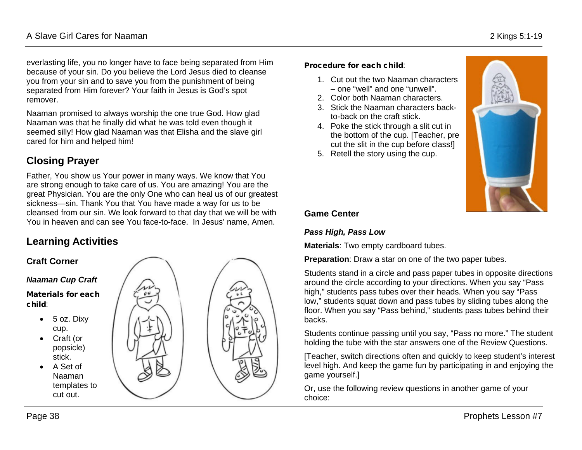everlasting life, you no longer have to face being separated from Him because of your sin. Do you believe the Lord Jesus died to cleanse you from your sin and to save you from the punishment of being separated from Him forever? Your faith in Jesus is God's spot remover.

Naaman promised to always worship the one true God. How glad Naaman was that he finally did what he was told even though it seemed silly! How glad Naaman was that Elisha and the slave girl cared for him and helped him!

# **Closing Prayer**

Father, You show us Your power in many ways. We know that You are strong enough to take care of us. You are amazing! You are the great Physician. You are the only One who can heal us of our greatest sickness—sin. Thank You that You have made a way for us to be cleansed from our sin. We look forward to that day that we will be with You in heaven and can see You face-to-face. In Jesus' name, Amen.

# **Learning Activities**



#### Procedure for each child:

- 1. Cut out the two Naaman characters – one "well" and one "unwell".
- 2. Color both Naaman characters.
- 3. Stick the Naaman characters backto-back on the craft stick.
- 4. Poke the stick through a slit cut in the bottom of the cup. [Teacher, pre cut the slit in the cup before class!]
- 5. Retell the story using the cup.



## **Game Center**

## *Pass High, Pass Low*

**Materials**: Two empty cardboard tubes.

**Preparation**: Draw a star on one of the two paper tubes.

Students stand in a circle and pass paper tubes in opposite directions around the circle according to your directions. When you say "Pass high," students pass tubes over their heads. When you say "Pass low," students squat down and pass tubes by sliding tubes along the floor. When you say "Pass behind," students pass tubes behind their backs.

Students continue passing until you say, "Pass no more." The student holding the tube with the star answers one of the Review Questions.

[Teacher, switch directions often and quickly to keep student's interest level high. And keep the game fun by participating in and enjoying the game yourself.]

Or, use the following review questions in another game of your choice: